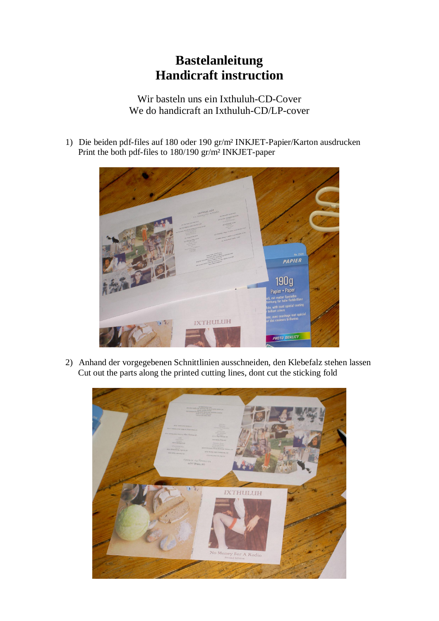## **Bastelanleitung Handicraft instruction**

Wir basteln uns ein Ixthuluh-CD-Cover We do handicraft an Ixthuluh-CD/LP-cover

1) Die beiden pdf-files auf 180 oder 190 gr/m² INKJET-Papier/Karton ausdrucken Print the both pdf-files to 180/190 gr/m² INKJET-paper



2) Anhand der vorgegebenen Schnittlinien ausschneiden, den Klebefalz stehen lassen Cut out the parts along the printed cutting lines, dont cut the sticking fold

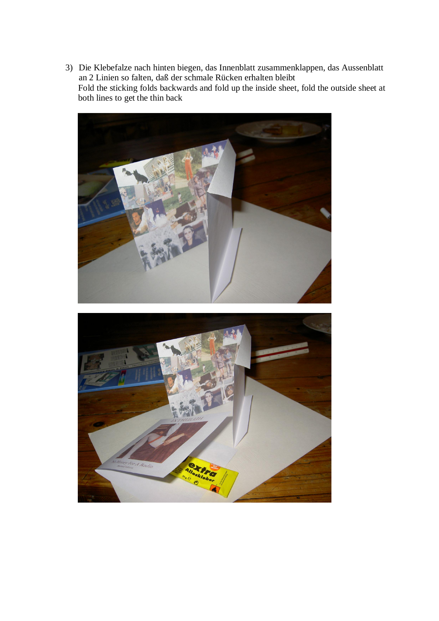3) Die Klebefalze nach hinten biegen, das Innenblatt zusammenklappen, das Aussenblatt an 2 Linien so falten, daß der schmale Rücken erhalten bleibt Fold the sticking folds backwards and fold up the inside sheet, fold the outside sheet at both lines to get the thin back